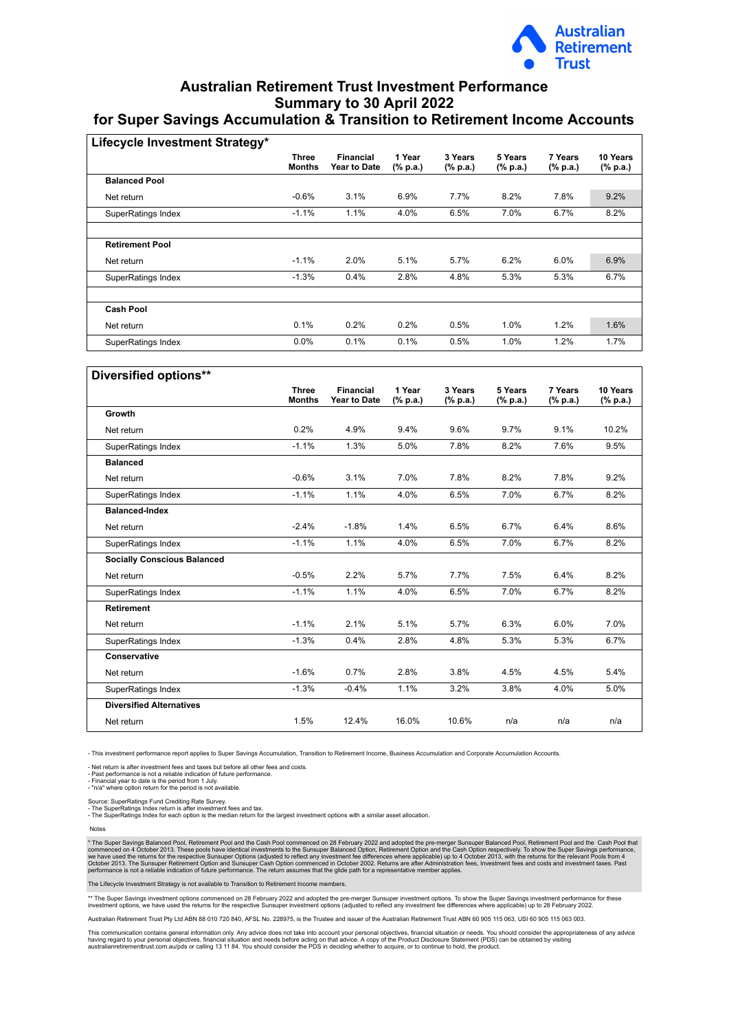

## **Australian Retirement Trust Investment Performance Summary to 30 April 2022 for Super Savings Accumulation & Transition to Retirement Income Accounts**

| Lifecycle Investment Strategy* |                               |                                  |                                     |                     |                                      |                                      |                      |
|--------------------------------|-------------------------------|----------------------------------|-------------------------------------|---------------------|--------------------------------------|--------------------------------------|----------------------|
|                                | <b>Three</b><br><b>Months</b> | <b>Financial</b><br>Year to Date | 1 Year<br>$(% \mathbf{a})$ (% p.a.) | 3 Years<br>(% p.a.) | 5 Years<br>$(% \mathbf{a})$ (% p.a.) | 7 Years<br>$(% \mathbf{a})$ (% p.a.) | 10 Years<br>(% p.a.) |
| <b>Balanced Pool</b>           |                               |                                  |                                     |                     |                                      |                                      |                      |
| Net return                     | $-0.6%$                       | 3.1%                             | 6.9%                                | 7.7%                | 8.2%                                 | 7.8%                                 | 9.2%                 |
| SuperRatings Index             | $-1.1%$                       | 1.1%                             | 4.0%                                | 6.5%                | 7.0%                                 | 6.7%                                 | 8.2%                 |
|                                |                               |                                  |                                     |                     |                                      |                                      |                      |
| <b>Retirement Pool</b>         |                               |                                  |                                     |                     |                                      |                                      |                      |
| Net return                     | $-1.1%$                       | 2.0%                             | 5.1%                                | 5.7%                | 6.2%                                 | 6.0%                                 | 6.9%                 |
| <b>SuperRatings Index</b>      | $-1.3%$                       | 0.4%                             | 2.8%                                | 4.8%                | 5.3%                                 | 5.3%                                 | 6.7%                 |
|                                |                               |                                  |                                     |                     |                                      |                                      |                      |
| <b>Cash Pool</b>               |                               |                                  |                                     |                     |                                      |                                      |                      |
| Net return                     | 0.1%                          | 0.2%                             | 0.2%                                | 0.5%                | 1.0%                                 | 1.2%                                 | 1.6%                 |
| SuperRatings Index             | 0.0%                          | 0.1%                             | 0.1%                                | 0.5%                | 1.0%                                 | 1.2%                                 | 1.7%                 |

| Diversified options**              |                               |                                         |                    |                     |                     |                     |                      |
|------------------------------------|-------------------------------|-----------------------------------------|--------------------|---------------------|---------------------|---------------------|----------------------|
|                                    | <b>Three</b><br><b>Months</b> | <b>Financial</b><br><b>Year to Date</b> | 1 Year<br>(% p.a.) | 3 Years<br>(% p.a.) | 5 Years<br>(% p.a.) | 7 Years<br>(% p.a.) | 10 Years<br>(% p.a.) |
| Growth                             |                               |                                         |                    |                     |                     |                     |                      |
| Net return                         | 0.2%                          | 4.9%                                    | 9.4%               | 9.6%                | 9.7%                | 9.1%                | 10.2%                |
| SuperRatings Index                 | $-1.1%$                       | 1.3%                                    | 5.0%               | 7.8%                | 8.2%                | 7.6%                | 9.5%                 |
| <b>Balanced</b>                    |                               |                                         |                    |                     |                     |                     |                      |
| Net return                         | $-0.6%$                       | 3.1%                                    | 7.0%               | 7.8%                | 8.2%                | 7.8%                | 9.2%                 |
| SuperRatings Index                 | $-1.1%$                       | 1.1%                                    | 4.0%               | 6.5%                | 7.0%                | 6.7%                | 8.2%                 |
| <b>Balanced-Index</b>              |                               |                                         |                    |                     |                     |                     |                      |
| Net return                         | $-2.4%$                       | $-1.8%$                                 | 1.4%               | 6.5%                | 6.7%                | 6.4%                | 8.6%                 |
| SuperRatings Index                 | $-1.1%$                       | 1.1%                                    | 4.0%               | 6.5%                | 7.0%                | 6.7%                | 8.2%                 |
| <b>Socially Conscious Balanced</b> |                               |                                         |                    |                     |                     |                     |                      |
| Net return                         | $-0.5%$                       | 2.2%                                    | 5.7%               | 7.7%                | 7.5%                | 6.4%                | 8.2%                 |
| SuperRatings Index                 | $-1.1%$                       | 1.1%                                    | 4.0%               | 6.5%                | 7.0%                | 6.7%                | 8.2%                 |
| <b>Retirement</b>                  |                               |                                         |                    |                     |                     |                     |                      |
| Net return                         | $-1.1%$                       | 2.1%                                    | 5.1%               | 5.7%                | 6.3%                | 6.0%                | 7.0%                 |
| SuperRatings Index                 | $-1.3%$                       | 0.4%                                    | 2.8%               | 4.8%                | 5.3%                | 5.3%                | 6.7%                 |
| Conservative                       |                               |                                         |                    |                     |                     |                     |                      |
| Net return                         | $-1.6%$                       | 0.7%                                    | 2.8%               | 3.8%                | 4.5%                | 4.5%                | 5.4%                 |
| SuperRatings Index                 | $-1.3%$                       | $-0.4%$                                 | 1.1%               | 3.2%                | 3.8%                | 4.0%                | 5.0%                 |
| <b>Diversified Alternatives</b>    |                               |                                         |                    |                     |                     |                     |                      |
| Net return                         | 1.5%                          | 12.4%                                   | 16.0%              | 10.6%               | n/a                 | n/a                 | n/a                  |

- This investment performance report applies to Super Savings Accumulation, Transition to Retirement Income, Business Accumulation and Corporate Accumulation Accounts.

- Net return is after investment fees and taxes but before all other fees and costs.<br>- Past performance is not a reliable indication of future performance.<br>- Financial year to date is the period from 1 July.<br>- "n/a" where

Source: SuperRatings Fund Crediting Rate Survey.<br>- The SuperRatings Index return is after investment fees and tax.<br>- The SuperRatings Index for each option is the median return for the largest investment options with a sim

Notes

\* The Super Savings Balanced Pool, Retirement Pool and the Cash Pool commenced on 28 February 2022 and adopted the pre-merger Sunsuper Balanced Pool, Retirement Pool and the Cash Potion respectively. To show the Super Savi

The Lifecycle Investment Strategy is not available to Transition to Retirement Income members.

\*\* The Super Savings investment options commenced on 28 February 2022 and adopted the pre-merger Supsper investment options. To show the Super Savings investment reformance for these<br>investment options, we have used the re

Australian Retirement Trust Pty Ltd ABN 88 010 720 840, AFSL No. 228975, is the Trustee and issuer of the Australian Retirement Trust ABN 60 905 115 063, USI 60 905 115 063 003.

This communication contains general information only. Any advice does not take into account your personal objectives, financial situation or needs. You should consider the appropriateness of any advice having regard to your personal objectives, financial situation and needs before acting on that advice. A copy of the Product Disclosere Statement (PDS) can be obtained by visiting<br>australianretirementtrust.com.au/pds or ca